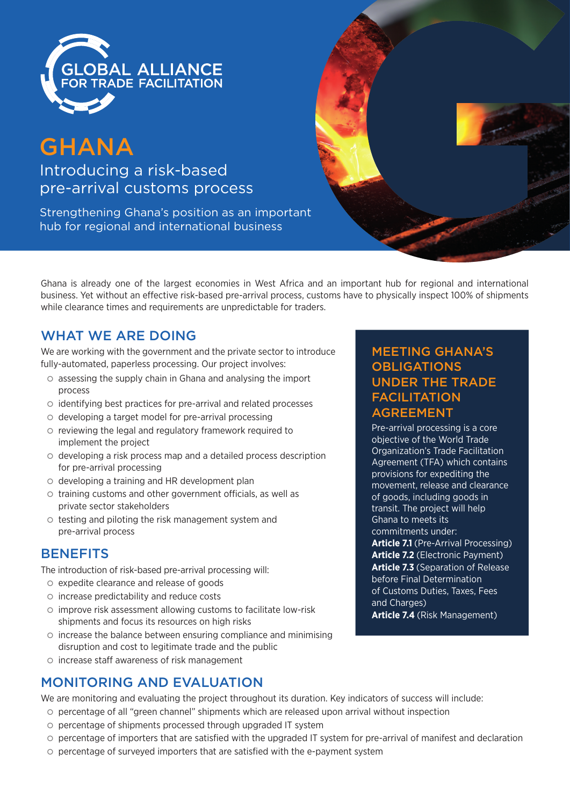

# **GHANA**

Introducing a risk-based pre-arrival customs process

Strengthening Ghana's position as an important hub for regional and international business



Ghana is already one of the largest economies in West Africa and an important hub for regional and international business. Yet without an effective risk-based pre-arrival process, customs have to physically inspect 100% of shipments while clearance times and requirements are unpredictable for traders.

# WHAT WE ARE DOING

We are working with the government and the private sector to introduce fully-automated, paperless processing. Our project involves:

- $\circ$  assessing the supply chain in Ghana and analysing the import process
- | identifying best practices for pre-arrival and related processes
- | developing a target model for pre-arrival processing
- $\circ$  reviewing the legal and regulatory framework required to implement the project
- | developing a risk process map and a detailed process description for pre-arrival processing
- $\circ$  developing a training and HR development plan
- $\circ$  training customs and other government officials, as well as private sector stakeholders
- $\circ$  testing and piloting the risk management system and pre-arrival process

# **BENEFITS**

The introduction of risk-based pre-arrival processing will:

- | expedite clearance and release of goods
- $\circ$  increase predictability and reduce costs
- $\circ$  improve risk assessment allowing customs to facilitate low-risk shipments and focus its resources on high risks
- $\circ$  increase the balance between ensuring compliance and minimising disruption and cost to legitimate trade and the public
- | increase staff awareness of risk management

# MONITORING AND EVALUATION

We are monitoring and evaluating the project throughout its duration. Key indicators of success will include:

- | percentage of all "green channel" shipments which are released upon arrival without inspection
- | percentage of shipments processed through upgraded IT system
- | percentage of importers that are satisfied with the upgraded IT system for pre-arrival of manifest and declaration
- | percentage of surveyed importers that are satisfied with the e-payment system

#### MEETING GHANA'S **OBLIGATIONS** UNDER THE TRADE **FACILITATION** AGREEMENT

Pre-arrival processing is a core objective of the World Trade Organization's Trade Facilitation Agreement (TFA) which contains provisions for expediting the movement, release and clearance of goods, including goods in transit. The project will help Ghana to meets its commitments under:

**Article 7.1** (Pre-Arrival Processing) **Article 7.2** (Electronic Payment) **Article 7.3** (Separation of Release before Final Determination of Customs Duties, Taxes, Fees and Charges) **Article 7.4** (Risk Management)